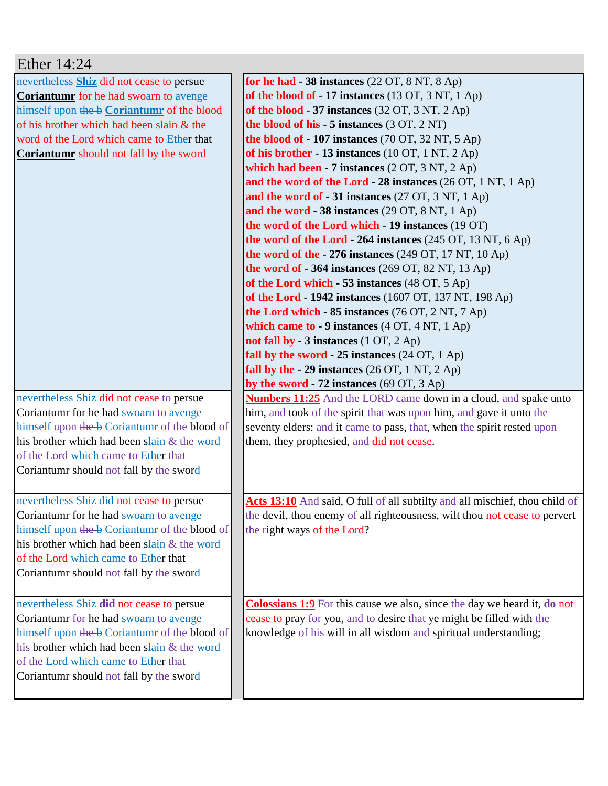| Ether $14:24$                                  |                                                                                        |
|------------------------------------------------|----------------------------------------------------------------------------------------|
| nevertheless Shiz did not cease to persue      | for he had $-38$ instances $(22 \text{ OT}, 8 \text{ NT}, 8 \text{ Ap})$               |
| <b>Coriantumr</b> for he had swoarn to avenge  | of the blood of $-17$ instances (13 OT, 3 NT, 1 Ap)                                    |
| himself upon the b Coriantumr of the blood     | of the blood $-37$ instances (32 OT, 3 NT, 2 Ap)                                       |
| of his brother which had been slain & the      | the blood of his $-5$ instances $(3 OT, 2 NT)$                                         |
| word of the Lord which came to Ether that      | the blood of $-107$ instances (70 OT, 32 NT, 5 Ap)                                     |
| <b>Coriantumr</b> should not fall by the sword | of his brother - 13 instances $(10 OT, 1 NT, 2 Ap)$                                    |
|                                                | which had been $-7$ instances $(2 OT, 3 NT, 2 Ap)$                                     |
|                                                | and the word of the Lord - 28 instances $(26 OT, 1 NT, 1 Ap)$                          |
|                                                | and the word of $-31$ instances (27 OT, 3 NT, 1 Ap)                                    |
|                                                | and the word - 38 instances $(29 \text{ OT}, 8 \text{ NT}, 1 \text{ Ap})$              |
|                                                | the word of the Lord which - 19 instances (19 OT)                                      |
|                                                | the word of the Lord $-264$ instances (245 OT, 13 NT, 6 Ap)                            |
|                                                | the word of the $-276$ instances (249 OT, 17 NT, 10 Ap)                                |
|                                                | the word of $-364$ instances (269 OT, 82 NT, 13 Ap)                                    |
|                                                | of the Lord which - 53 instances (48 OT, 5 Ap)                                         |
|                                                | of the Lord - 1942 instances (1607 OT, 137 NT, 198 Ap)                                 |
|                                                | the Lord which - 85 instances (76 OT, 2 NT, 7 Ap)                                      |
|                                                | which came to - 9 instances $(4 OT, 4 NT, 1 Ap)$                                       |
|                                                | not fall by - 3 instances (1 OT, 2 Ap)                                                 |
|                                                | fall by the sword - $25$ instances $(24$ OT, $1$ Ap)                                   |
|                                                | fall by the $-29$ instances $(26 \text{ OT}, 1 \text{ NT}, 2 \text{ Ap})$              |
|                                                | by the sword - $72$ instances (69 OT, 3 Ap)                                            |
| nevertheless Shiz did not cease to persue      | <b>Numbers 11:25</b> And the LORD came down in a cloud, and spake unto                 |
| Coriantumr for he had swoarn to avenge         | him, and took of the spirit that was upon him, and gave it unto the                    |
| himself upon the b Coriantum of the blood of   | seventy elders: and it came to pass, that, when the spirit rested upon                 |
| his brother which had been slain & the word    | them, they prophesied, and did not cease.                                              |
| of the Lord which came to Ether that           |                                                                                        |
| Coriantumr should not fall by the sword        |                                                                                        |
|                                                |                                                                                        |
| nevertheless Shiz did not cease to persue      | Acts 13:10 And said, O full of all subtilty and all mischief, thou child of            |
| Coriantumr for he had swoarn to avenge         | the devil, thou enemy of all righteousness, wilt thou not cease to pervert             |
| himself upon the b Coriantum of the blood of   | the right ways of the Lord?                                                            |
| his brother which had been slain & the word    |                                                                                        |
| of the Lord which came to Ether that           |                                                                                        |
| Coriantumr should not fall by the sword        |                                                                                        |
|                                                |                                                                                        |
| nevertheless Shiz did not cease to persue      | <b>Colossians 1:9</b> For this cause we also, since the day we heard it, <b>do</b> not |
| Coriantumr for he had swoarn to avenge         | cease to pray for you, and to desire that ye might be filled with the                  |
| himself upon the b Coriantumr of the blood of  | knowledge of his will in all wisdom and spiritual understanding;                       |
| his brother which had been slain & the word    |                                                                                        |
| of the Lord which came to Ether that           |                                                                                        |
| Coriantumr should not fall by the sword        |                                                                                        |
|                                                |                                                                                        |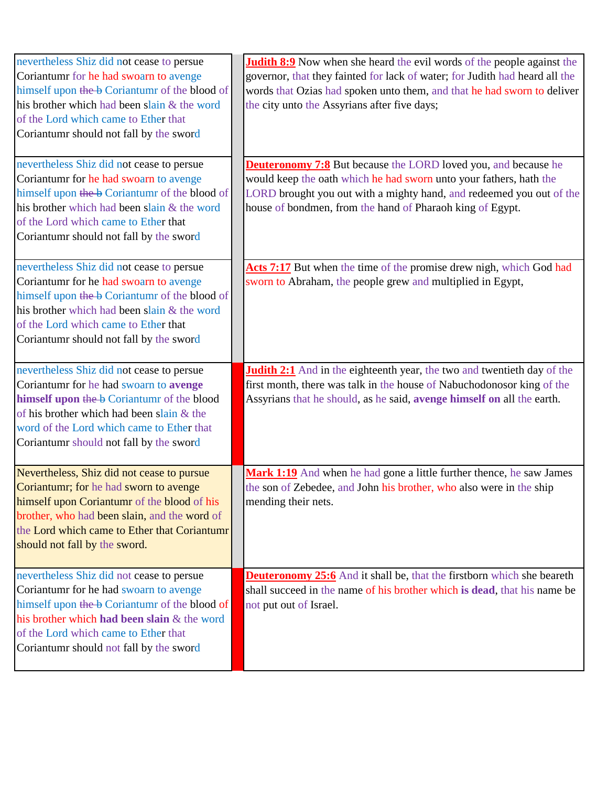| nevertheless Shiz did not cease to persue<br>Coriantumr for he had swoarn to avenge<br>himself upon the b Coriantumr of the blood of<br>his brother which had been slain & the word<br>of the Lord which came to Ether that<br>Coriantumr should not fall by the sword<br>nevertheless Shiz did not cease to persue | <b>Judith 8:9</b> Now when she heard the evil words of the people against the<br>governor, that they fainted for lack of water; for Judith had heard all the<br>words that Ozias had spoken unto them, and that he had sworn to deliver<br>the city unto the Assyrians after five days;<br><b>Deuteronomy 7:8</b> But because the LORD loved you, and because he |
|---------------------------------------------------------------------------------------------------------------------------------------------------------------------------------------------------------------------------------------------------------------------------------------------------------------------|------------------------------------------------------------------------------------------------------------------------------------------------------------------------------------------------------------------------------------------------------------------------------------------------------------------------------------------------------------------|
| Coriantumr for he had swoarn to avenge<br>himself upon the b Coriantum of the blood of<br>his brother which had been slain & the word<br>of the Lord which came to Ether that<br>Coriantumr should not fall by the sword                                                                                            | would keep the oath which he had sworn unto your fathers, hath the<br>LORD brought you out with a mighty hand, and redeemed you out of the<br>house of bondmen, from the hand of Pharaoh king of Egypt.                                                                                                                                                          |
| nevertheless Shiz did not cease to persue<br>Coriantumr for he had swoarn to avenge<br>himself upon the b Coriantumr of the blood of<br>his brother which had been slain & the word<br>of the Lord which came to Ether that<br>Coriantumr should not fall by the sword                                              | Acts 7:17 But when the time of the promise drew nigh, which God had<br>sworn to Abraham, the people grew and multiplied in Egypt,                                                                                                                                                                                                                                |
| nevertheless Shiz did not cease to persue<br>Coriantumr for he had swoarn to avenge<br>himself upon the b Coriantumr of the blood<br>of his brother which had been slain & the<br>word of the Lord which came to Ether that<br>Coriantumr should not fall by the sword                                              | <b>Judith 2:1</b> And in the eighteenth year, the two and twentieth day of the<br>first month, there was talk in the house of Nabuchodonosor king of the<br>Assyrians that he should, as he said, avenge himself on all the earth.                                                                                                                               |
| Nevertheless, Shiz did not cease to pursue<br>Coriantumr; for he had sworn to avenge<br>himself upon Coriantumr of the blood of his<br>brother, who had been slain, and the word of<br>the Lord which came to Ether that Coriantumr<br>should not fall by the sword.                                                | Mark 1:19 And when he had gone a little further thence, he saw James<br>the son of Zebedee, and John his brother, who also were in the ship<br>mending their nets.                                                                                                                                                                                               |
| nevertheless Shiz did not cease to persue<br>Coriantumr for he had swoarn to avenge<br>himself upon the b Coriantum of the blood of<br>his brother which had been slain & the word<br>of the Lord which came to Ether that<br>Coriantumr should not fall by the sword                                               | <b>Deuteronomy 25:6</b> And it shall be, that the firstborn which she beareth<br>shall succeed in the name of his brother which is dead, that his name be<br>not put out of Israel.                                                                                                                                                                              |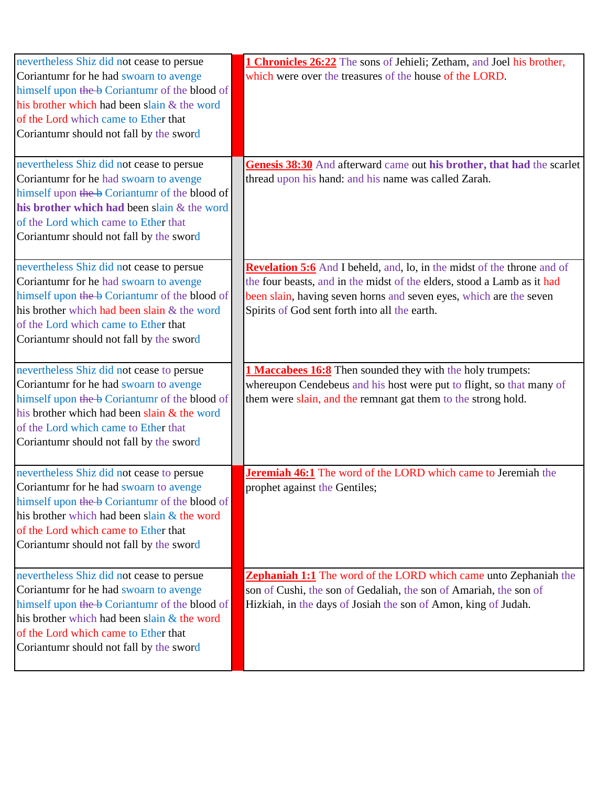| nevertheless Shiz did not cease to persue     | 1 Chronicles 26:22 The sons of Jehieli; Zetham, and Joel his brother,          |
|-----------------------------------------------|--------------------------------------------------------------------------------|
| Coriantumr for he had swoarn to avenge        | which were over the treasures of the house of the LORD.                        |
| himself upon the b Coriantumr of the blood of |                                                                                |
| his brother which had been slain & the word   |                                                                                |
| of the Lord which came to Ether that          |                                                                                |
| Coriantumr should not fall by the sword       |                                                                                |
|                                               |                                                                                |
| nevertheless Shiz did not cease to persue     | Genesis 38:30 And afterward came out his brother, that had the scarlet         |
| Coriantumr for he had swoarn to avenge        | thread upon his hand: and his name was called Zarah.                           |
| himself upon the b Coriantum of the blood of  |                                                                                |
| his brother which had been slain & the word   |                                                                                |
| of the Lord which came to Ether that          |                                                                                |
| Coriantumr should not fall by the sword       |                                                                                |
|                                               |                                                                                |
| nevertheless Shiz did not cease to persue     | <b>Revelation 5:6</b> And I beheld, and, lo, in the midst of the throne and of |
| Coriantumr for he had swoarn to avenge        | the four beasts, and in the midst of the elders, stood a Lamb as it had        |
| himself upon the b Coriantum of the blood of  | been slain, having seven horns and seven eyes, which are the seven             |
| his brother which had been slain & the word   | Spirits of God sent forth into all the earth.                                  |
| of the Lord which came to Ether that          |                                                                                |
| Coriantumr should not fall by the sword       |                                                                                |
| nevertheless Shiz did not cease to persue     | <b>1 Maccabees 16:8</b> Then sounded they with the holy trumpets:              |
| Coriantumr for he had swoarn to avenge        | whereupon Cendebeus and his host were put to flight, so that many of           |
| himself upon the b Coriantum of the blood of  | them were slain, and the remnant gat them to the strong hold.                  |
| his brother which had been slain & the word   |                                                                                |
| of the Lord which came to Ether that          |                                                                                |
| Coriantumr should not fall by the sword       |                                                                                |
|                                               |                                                                                |
| nevertheless Shiz did not cease to persue     | <b>Jeremiah 46:1</b> The word of the LORD which came to Jeremiah the           |
| Coriantumr for he had swoarn to avenge        | prophet against the Gentiles;                                                  |
| himself upon the b Coriantum of the blood of  |                                                                                |
| his brother which had been slain & the word   |                                                                                |
| of the Lord which came to Ether that          |                                                                                |
| Coriantumr should not fall by the sword       |                                                                                |
| nevertheless Shiz did not cease to persue     | <b>Zephaniah 1:1</b> The word of the LORD which came unto Zephaniah the        |
| Coriantumr for he had swoarn to avenge        | son of Cushi, the son of Gedaliah, the son of Amariah, the son of              |
| himself upon the b Coriantum of the blood of  | Hizkiah, in the days of Josiah the son of Amon, king of Judah.                 |
| his brother which had been slain & the word   |                                                                                |
| of the Lord which came to Ether that          |                                                                                |
| Coriantumr should not fall by the sword       |                                                                                |
|                                               |                                                                                |
|                                               |                                                                                |